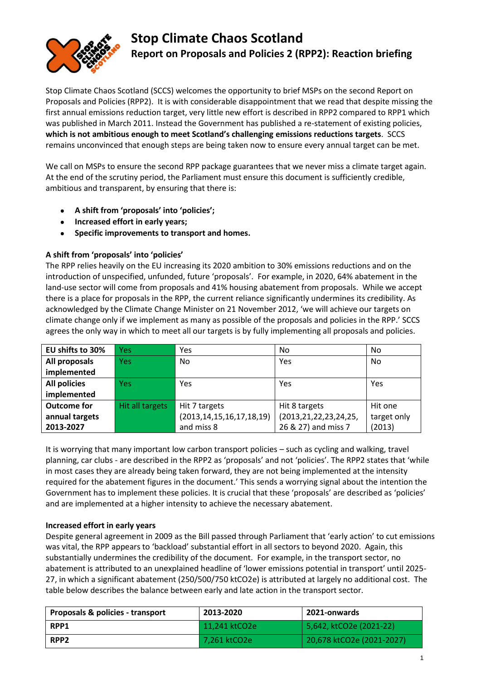

# **Stop Climate Chaos Scotland Report on Proposals and Policies 2 (RPP2): Reaction briefing**

Stop Climate Chaos Scotland (SCCS) welcomes the opportunity to brief MSPs on the second Report on Proposals and Policies (RPP2). It is with considerable disappointment that we read that despite missing the first annual emissions reduction target, very little new effort is described in RPP2 compared to RPP1 which was published in March 2011. Instead the Government has published a re-statement of existing policies, **which is not ambitious enough to meet Scotland's challenging emissions reductions targets**. SCCS remains unconvinced that enough steps are being taken now to ensure every annual target can be met.

We call on MSPs to ensure the second RPP package guarantees that we never miss a climate target again. At the end of the scrutiny period, the Parliament must ensure this document is sufficiently credible, ambitious and transparent, by ensuring that there is:

- **A shift from 'proposals' into 'policies';**
- **Increased effort in early years;**
- **Specific improvements to transport and homes.**

# **A shift from 'proposals' into 'policies'**

The RPP relies heavily on the EU increasing its 2020 ambition to 30% emissions reductions and on the introduction of unspecified, unfunded, future 'proposals'. For example, in 2020, 64% abatement in the land-use sector will come from proposals and 41% housing abatement from proposals. While we accept there is a place for proposals in the RPP, the current reliance significantly undermines its credibility. As acknowledged by the Climate Change Minister on 21 November 2012, 'we will achieve our targets on climate change only if we implement as many as possible of the proposals and policies in the RPP.' SCCS agrees the only way in which to meet all our targets is by fully implementing all proposals and policies.

| EU shifts to 30%    | <b>Yes</b>      | Yes                            | No.                        | No.         |
|---------------------|-----------------|--------------------------------|----------------------------|-------------|
| All proposals       | <b>Yes</b>      | No.                            | Yes                        | No          |
| implemented         |                 |                                |                            |             |
| <b>All policies</b> | <b>Yes</b>      | Yes                            | Yes                        | Yes         |
| implemented         |                 |                                |                            |             |
| <b>Outcome for</b>  | Hit all targets | Hit 7 targets                  | Hit 8 targets              | Hit one     |
| annual targets      |                 | (2013, 14, 15, 16, 17, 18, 19) | (2013, 21, 22, 23, 24, 25, | target only |
| 2013-2027           |                 | and miss 8                     | 26 & 27) and miss 7        | (2013)      |

It is worrying that many important low carbon transport policies – such as cycling and walking, travel planning, car clubs - are described in the RPP2 as 'proposals' and not 'policies'. The RPP2 states that 'while in most cases they are already being taken forward, they are not being implemented at the intensity required for the abatement figures in the document.' This sends a worrying signal about the intention the Government has to implement these policies. It is crucial that these 'proposals' are described as 'policies' and are implemented at a higher intensity to achieve the necessary abatement.

# **Increased effort in early years**

Despite general agreement in 2009 as the Bill passed through Parliament that 'early action' to cut emissions was vital, the RPP appears to 'backload' substantial effort in all sectors to beyond 2020. Again, this substantially undermines the credibility of the document. For example, in the transport sector, no abatement is attributed to an unexplained headline of 'lower emissions potential in transport' until 2025- 27, in which a significant abatement (250/500/750 ktCO2e) is attributed at largely no additional cost. The table below describes the balance between early and late action in the transport sector.

| <b>Proposals &amp; policies - transport</b> | 2013-2020     | 2021-onwards              |
|---------------------------------------------|---------------|---------------------------|
| RPP1                                        | 11.241 ktCO2e | 5,642, ktCO2e (2021-22)   |
| RPP <sub>2</sub>                            | 7,261 ktCO2e  | 20,678 ktCO2e (2021-2027) |